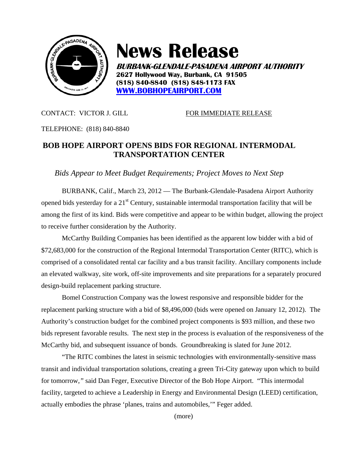

## **News Release**

**BURBANK-GLENDALE-PASADENA AIRPORT AUTHORITY 2627 Hollywood Way, Burbank, CA 91505 (818) 840-8840 (818) 848-1173 FAX WWW.BOBHOPEAIRPORT.COM**

CONTACT: VICTOR J. GILL FOR IMMEDIATE RELEASE

TELEPHONE: (818) 840-8840

## **BOB HOPE AIRPORT OPENS BIDS FOR REGIONAL INTERMODAL TRANSPORTATION CENTER**

*Bids Appear to Meet Budget Requirements; Project Moves to Next Step* 

 BURBANK, Calif., March 23, 2012 — The Burbank-Glendale-Pasadena Airport Authority opened bids yesterday for a  $21<sup>st</sup>$  Century, sustainable intermodal transportation facility that will be among the first of its kind. Bids were competitive and appear to be within budget, allowing the project to receive further consideration by the Authority.

McCarthy Building Companies has been identified as the apparent low bidder with a bid of \$72,683,000 for the construction of the Regional Intermodal Transportation Center (RITC), which is comprised of a consolidated rental car facility and a bus transit facility. Ancillary components include an elevated walkway, site work, off-site improvements and site preparations for a separately procured design-build replacement parking structure.

Bomel Construction Company was the lowest responsive and responsible bidder for the replacement parking structure with a bid of \$8,496,000 (bids were opened on January 12, 2012). The Authority's construction budget for the combined project components is \$93 million, and these two bids represent favorable results. The next step in the process is evaluation of the responsiveness of the McCarthy bid, and subsequent issuance of bonds. Groundbreaking is slated for June 2012.

"The RITC combines the latest in seismic technologies with environmentally-sensitive mass transit and individual transportation solutions, creating a green Tri-City gateway upon which to build for tomorrow,*"* said Dan Feger, Executive Director of the Bob Hope Airport. "This intermodal facility, targeted to achieve a Leadership in Energy and Environmental Design (LEED) certification, actually embodies the phrase 'planes, trains and automobiles,'" Feger added.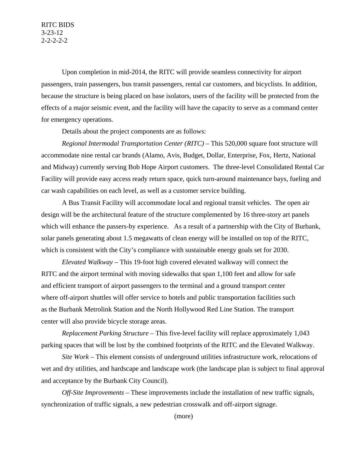Upon completion in mid-2014, the RITC will provide seamless connectivity for airport passengers, train passengers, bus transit passengers, rental car customers, and bicyclists. In addition, because the structure is being placed on base isolators, users of the facility will be protected from the effects of a major seismic event, and the facility will have the capacity to serve as a command center for emergency operations.

Details about the project components are as follows:

*Regional Intermodal Transportation Center (RITC)* – This 520,000 square foot structure will accommodate nine rental car brands (Alamo, Avis, Budget, Dollar, Enterprise, Fox, Hertz, National and Midway) currently serving Bob Hope Airport customers. The three-level Consolidated Rental Car Facility will provide easy access ready return space, quick turn-around maintenance bays, fueling and car wash capabilities on each level, as well as a customer service building.

A Bus Transit Facility will accommodate local and regional transit vehicles. The open air design will be the architectural feature of the structure complemented by 16 three-story art panels which will enhance the passers-by experience. As a result of a partnership with the City of Burbank, solar panels generating about 1.5 megawatts of clean energy will be installed on top of the RITC, which is consistent with the City's compliance with sustainable energy goals set for 2030.

*Elevated Walkway* – This 19-foot high covered elevated walkway will connect the RITC and the airport terminal with moving sidewalks that span 1,100 feet and allow for safe and efficient transport of airport passengers to the terminal and a ground transport center where off-airport shuttles will offer service to hotels and public transportation facilities such as the Burbank Metrolink Station and the North Hollywood Red Line Station. The transport center will also provide bicycle storage areas.

*Replacement Parking Structure –* This five-level facility will replace approximately 1,043 parking spaces that will be lost by the combined footprints of the RITC and the Elevated Walkway.

*Site Work* – This element consists of underground utilities infrastructure work, relocations of wet and dry utilities, and hardscape and landscape work (the landscape plan is subject to final approval and acceptance by the Burbank City Council).

*Off-Site Improvements* – These improvements include the installation of new traffic signals, synchronization of traffic signals, a new pedestrian crosswalk and off-airport signage.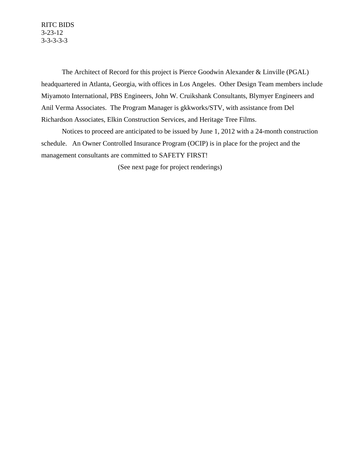The Architect of Record for this project is Pierce Goodwin Alexander & Linville (PGAL) headquartered in Atlanta, Georgia, with offices in Los Angeles. Other Design Team members include Miyamoto International, PBS Engineers, John W. Cruikshank Consultants, Blymyer Engineers and Anil Verma Associates. The Program Manager is gkkworks/STV, with assistance from Del Richardson Associates, Elkin Construction Services, and Heritage Tree Films.

Notices to proceed are anticipated to be issued by June 1, 2012 with a 24-month construction schedule. An Owner Controlled Insurance Program (OCIP) is in place for the project and the management consultants are committed to SAFETY FIRST!

(See next page for project renderings)